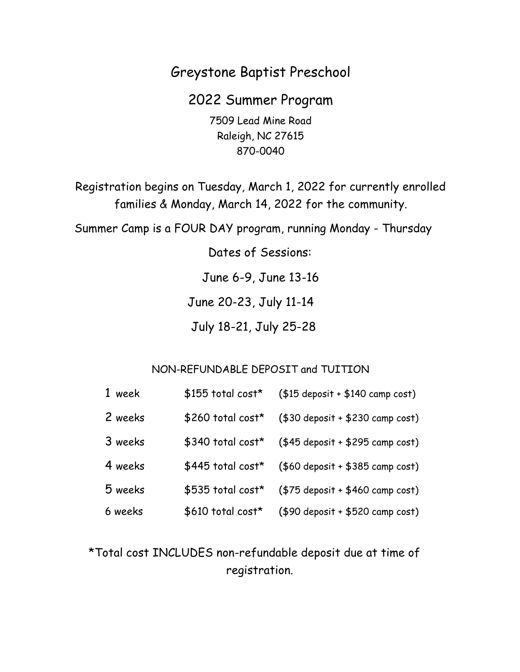# Greystone Baptist Preschool

2022 Summer Program 7509 Lead Mine Road Raleigh, NC 27615 870-0040

Registration begins on Tuesday, March 1, 2022 for currently enrolled families & Monday, March 14, 2022 for the community.

Summer Camp is a FOUR DAY program, running Monday - Thursday

Dates of Sessions:

June 6-9, June 13-16

June 20-23, July 11-14

July 18-21, July 25-28

## NON-REFUNDABLE DEPOSIT and TUITION

| 1 week  | \$155 total cost* | $($15$ deposit + $$140$ camp cost) |
|---------|-------------------|------------------------------------|
| 2 weeks | \$260 total cost* | $($30$ deposit + \$230 camp cost)  |
| 3 weeks | \$340 total cost* | $($45$ deposit + \$295 camp cost)  |
| 4 weeks | \$445 total cost* | $($60$ deposit + \$385 camp cost)  |
| 5 weeks | \$535 total cost* | $($75$ deposit + \$460 camp cost)  |
| 6 weeks | \$610 total cost* | $($90$ deposit + \$520 camp cost)  |

\*Total cost INCLUDES non-refundable deposit due at time of registration.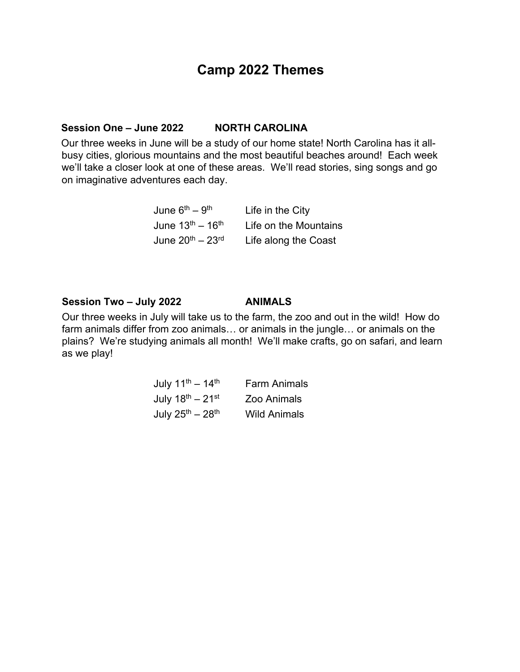## **Camp 2022 Themes**

## **Session One – June 2022 NORTH CAROLINA**

Our three weeks in June will be a study of our home state! North Carolina has it allbusy cities, glorious mountains and the most beautiful beaches around! Each week we'll take a closer look at one of these areas. We'll read stories, sing songs and go on imaginative adventures each day.

| June 6 <sup>th</sup> – 9 <sup>th</sup>   | Life in the City      |
|------------------------------------------|-----------------------|
| June 13 <sup>th</sup> – 16 <sup>th</sup> | Life on the Mountains |
| June 20 <sup>th</sup> – 23 <sup>rd</sup> | Life along the Coast  |

#### **Session Two – July 2022 ANIMALS**

Our three weeks in July will take us to the farm, the zoo and out in the wild! How do farm animals differ from zoo animals… or animals in the jungle… or animals on the plains? We're studying animals all month! We'll make crafts, go on safari, and learn as we play!

| July $11^{th} - 14^{th}$               | <b>Farm Animals</b> |
|----------------------------------------|---------------------|
| July $18^{\text{th}} - 21^{\text{st}}$ | Zoo Animals         |
| July $25^{th} - 28^{th}$               | <b>Wild Animals</b> |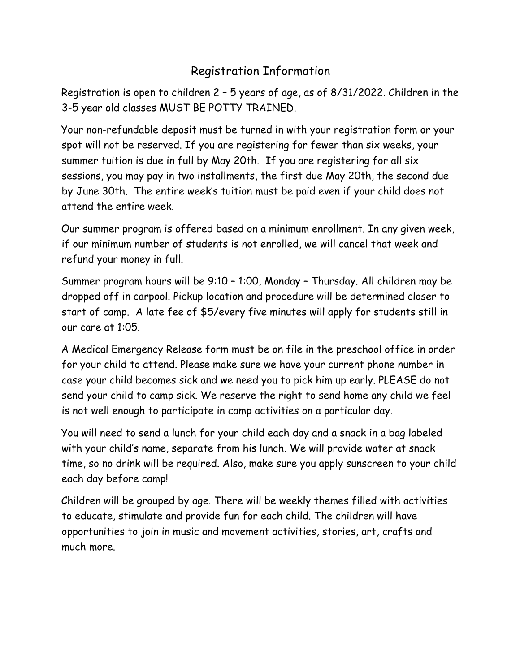# Registration Information

Registration is open to children 2 – 5 years of age, as of 8/31/2022. Children in the 3-5 year old classes MUST BE POTTY TRAINED.

Your non-refundable deposit must be turned in with your registration form or your spot will not be reserved. If you are registering for fewer than six weeks, your summer tuition is due in full by May 20th. If you are registering for all six sessions, you may pay in two installments, the first due May 20th, the second due by June 30th. The entire week's tuition must be paid even if your child does not attend the entire week.

Our summer program is offered based on a minimum enrollment. In any given week, if our minimum number of students is not enrolled, we will cancel that week and refund your money in full.

Summer program hours will be 9:10 – 1:00, Monday – Thursday. All children may be dropped off in carpool. Pickup location and procedure will be determined closer to start of camp. A late fee of \$5/every five minutes will apply for students still in our care at 1:05.

A Medical Emergency Release form must be on file in the preschool office in order for your child to attend. Please make sure we have your current phone number in case your child becomes sick and we need you to pick him up early. PLEASE do not send your child to camp sick. We reserve the right to send home any child we feel is not well enough to participate in camp activities on a particular day.

You will need to send a lunch for your child each day and a snack in a bag labeled with your child's name, separate from his lunch. We will provide water at snack time, so no drink will be required. Also, make sure you apply sunscreen to your child each day before camp!

Children will be grouped by age. There will be weekly themes filled with activities to educate, stimulate and provide fun for each child. The children will have opportunities to join in music and movement activities, stories, art, crafts and much more.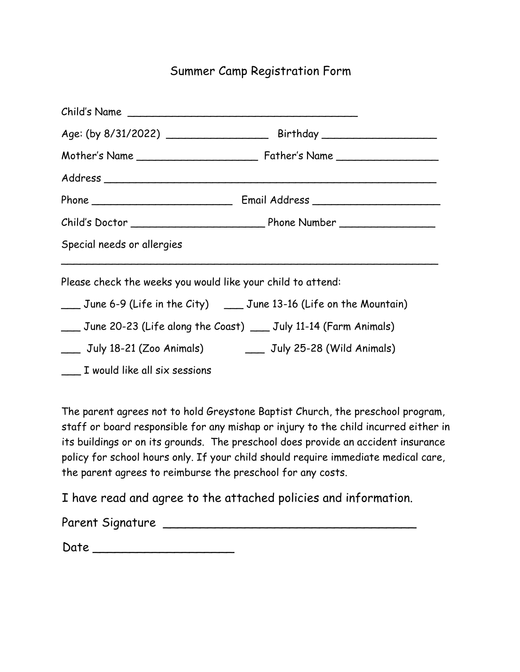## Summer Camp Registration Form

| Child's Name                                                |                                                                                       |
|-------------------------------------------------------------|---------------------------------------------------------------------------------------|
|                                                             |                                                                                       |
|                                                             |                                                                                       |
|                                                             |                                                                                       |
|                                                             |                                                                                       |
|                                                             |                                                                                       |
| Special needs or allergies                                  |                                                                                       |
| Please check the weeks you would like your child to attend: |                                                                                       |
|                                                             | Let Uller 2 June 6-9 (Life in the City) Let Uller 2 June 13-16 (Life on the Mountain) |
|                                                             | ___ June 20-23 (Life along the Coast) ___ July 11-14 (Farm Animals)                   |
|                                                             | ___ July 18-21 (Zoo Animals) ________ July 25-28 (Wild Animals)                       |
| _____ I would like all six sessions                         |                                                                                       |

The parent agrees not to hold Greystone Baptist Church, the preschool program, staff or board responsible for any mishap or injury to the child incurred either in its buildings or on its grounds. The preschool does provide an accident insurance policy for school hours only. If your child should require immediate medical care, the parent agrees to reimburse the preschool for any costs.

I have read and agree to the attached policies and information.

| Parent Signature |  |
|------------------|--|
|                  |  |

| Date |  |
|------|--|
|------|--|